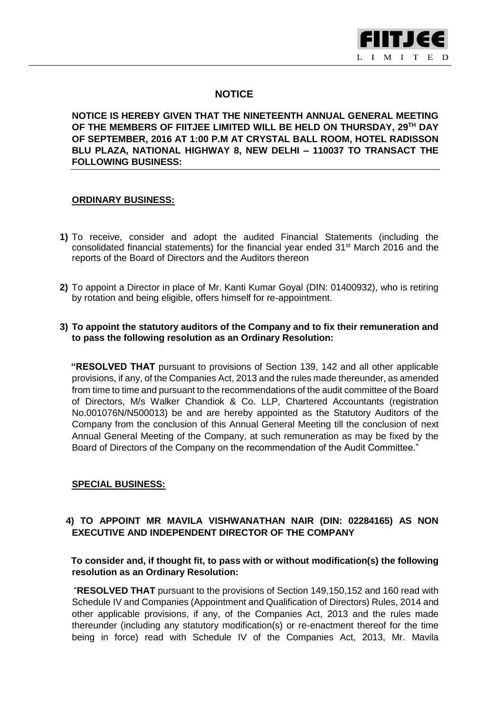

## **NOTICE**

**NOTICE IS HEREBY GIVEN THAT THE NINETEENTH ANNUAL GENERAL MEETING OF THE MEMBERS OF FIITJEE LIMITED WILL BE HELD ON THURSDAY, 29TH DAY OF SEPTEMBER, 2016 AT 1:00 P.M AT CRYSTAL BALL ROOM, HOTEL RADISSON BLU PLAZA, NATIONAL HIGHWAY 8, NEW DELHI – 110037 TO TRANSACT THE FOLLOWING BUSINESS:**

## **ORDINARY BUSINESS:**

- **1)** To receive, consider and adopt the audited Financial Statements (including the consolidated financial statements) for the financial year ended 31<sup>st</sup> March 2016 and the reports of the Board of Directors and the Auditors thereon
- **2)** To appoint a Director in place of Mr. Kanti Kumar Goyal (DIN: 01400932), who is retiring by rotation and being eligible, offers himself for re-appointment.

### **3) To appoint the statutory auditors of the Company and to fix their remuneration and to pass the following resolution as an Ordinary Resolution:**

 **"RESOLVED THAT** pursuant to provisions of Section 139, 142 and all other applicable provisions, if any, of the Companies Act, 2013 and the rules made thereunder, as amended from time to time and pursuant to the recommendations of the audit committee of the Board of Directors, M/s Walker Chandiok & Co. LLP, Chartered Accountants (registration No.001076N/N500013) be and are hereby appointed as the Statutory Auditors of the Company from the conclusion of this Annual General Meeting till the conclusion of next Annual General Meeting of the Company, at such remuneration as may be fixed by the Board of Directors of the Company on the recommendation of the Audit Committee."

### **SPECIAL BUSINESS:**

### **4) TO APPOINT MR MAVILA VISHWANATHAN NAIR (DIN: 02284165) AS NON EXECUTIVE AND INDEPENDENT DIRECTOR OF THE COMPANY**

### **To consider and, if thought fit, to pass with or without modification(s) the following resolution as an Ordinary Resolution:**

 "**RESOLVED THAT** pursuant to the provisions of Section 149,150,152 and 160 read with Schedule IV and Companies (Appointment and Qualification of Directors) Rules, 2014 and other applicable provisions, if any, of the Companies Act, 2013 and the rules made thereunder (including any statutory modification(s) or re-enactment thereof for the time being in force) read with Schedule IV of the Companies Act, 2013, Mr. Mavila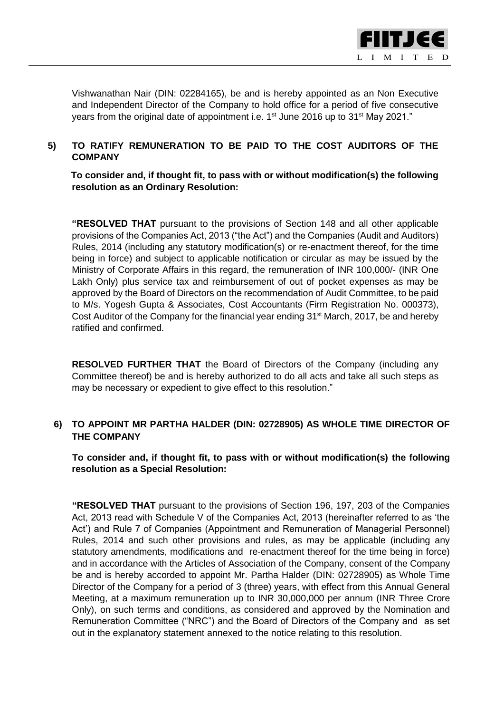

Vishwanathan Nair (DIN: 02284165), be and is hereby appointed as an Non Executive and Independent Director of the Company to hold office for a period of five consecutive years from the original date of appointment i.e. 1<sup>st</sup> June 2016 up to 31<sup>st</sup> May 2021."

## **5) TO RATIFY REMUNERATION TO BE PAID TO THE COST AUDITORS OF THE COMPANY**

 **To consider and, if thought fit, to pass with or without modification(s) the following resolution as an Ordinary Resolution:**

**"RESOLVED THAT** pursuant to the provisions of Section 148 and all other applicable provisions of the Companies Act, 2013 ("the Act") and the Companies (Audit and Auditors) Rules, 2014 (including any statutory modification(s) or re-enactment thereof, for the time being in force) and subject to applicable notification or circular as may be issued by the Ministry of Corporate Affairs in this regard, the remuneration of INR 100,000/- (INR One Lakh Only) plus service tax and reimbursement of out of pocket expenses as may be approved by the Board of Directors on the recommendation of Audit Committee, to be paid to M/s. Yogesh Gupta & Associates, Cost Accountants (Firm Registration No. 000373), Cost Auditor of the Company for the financial year ending  $31<sup>st</sup>$  March, 2017, be and hereby ratified and confirmed.

**RESOLVED FURTHER THAT** the Board of Directors of the Company (including any Committee thereof) be and is hereby authorized to do all acts and take all such steps as may be necessary or expedient to give effect to this resolution."

## **6) TO APPOINT MR PARTHA HALDER (DIN: 02728905) AS WHOLE TIME DIRECTOR OF THE COMPANY**

 **To consider and, if thought fit, to pass with or without modification(s) the following resolution as a Special Resolution:**

 **"RESOLVED THAT** pursuant to the provisions of Section 196, 197, 203 of the Companies Act, 2013 read with Schedule V of the Companies Act, 2013 (hereinafter referred to as 'the Act') and Rule 7 of Companies (Appointment and Remuneration of Managerial Personnel) Rules, 2014 and such other provisions and rules, as may be applicable (including any statutory amendments, modifications and re-enactment thereof for the time being in force) and in accordance with the Articles of Association of the Company, consent of the Company be and is hereby accorded to appoint Mr. Partha Halder (DIN: 02728905) as Whole Time Director of the Company for a period of 3 (three) years, with effect from this Annual General Meeting, at a maximum remuneration up to INR 30,000,000 per annum (INR Three Crore Only), on such terms and conditions, as considered and approved by the Nomination and Remuneration Committee ("NRC") and the Board of Directors of the Company and as set out in the explanatory statement annexed to the notice relating to this resolution.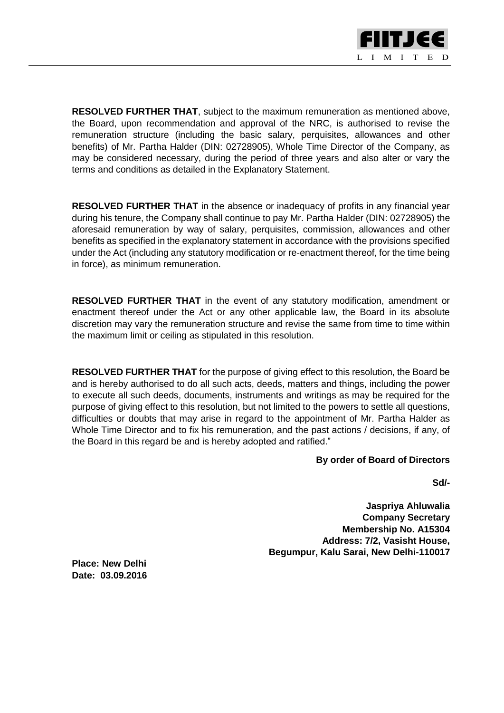

**RESOLVED FURTHER THAT**, subject to the maximum remuneration as mentioned above, the Board, upon recommendation and approval of the NRC, is authorised to revise the remuneration structure (including the basic salary, perquisites, allowances and other benefits) of Mr. Partha Halder (DIN: 02728905), Whole Time Director of the Company, as may be considered necessary, during the period of three years and also alter or vary the terms and conditions as detailed in the Explanatory Statement.

**RESOLVED FURTHER THAT** in the absence or inadequacy of profits in any financial year during his tenure, the Company shall continue to pay Mr. Partha Halder (DIN: 02728905) the aforesaid remuneration by way of salary, perquisites, commission, allowances and other benefits as specified in the explanatory statement in accordance with the provisions specified under the Act (including any statutory modification or re-enactment thereof, for the time being in force), as minimum remuneration.

**RESOLVED FURTHER THAT** in the event of any statutory modification, amendment or enactment thereof under the Act or any other applicable law, the Board in its absolute discretion may vary the remuneration structure and revise the same from time to time within the maximum limit or ceiling as stipulated in this resolution.

 **RESOLVED FURTHER THAT** for the purpose of giving effect to this resolution, the Board be and is hereby authorised to do all such acts, deeds, matters and things, including the power to execute all such deeds, documents, instruments and writings as may be required for the purpose of giving effect to this resolution, but not limited to the powers to settle all questions, difficulties or doubts that may arise in regard to the appointment of Mr. Partha Halder as Whole Time Director and to fix his remuneration, and the past actions / decisions, if any, of the Board in this regard be and is hereby adopted and ratified."

### **By order of Board of Directors**

**Sd/-**

**Jaspriya Ahluwalia Company Secretary Membership No. A15304 Address: 7/2, Vasisht House, Begumpur, Kalu Sarai, New Delhi-110017**

**Place: New Delhi Date: 03.09.2016**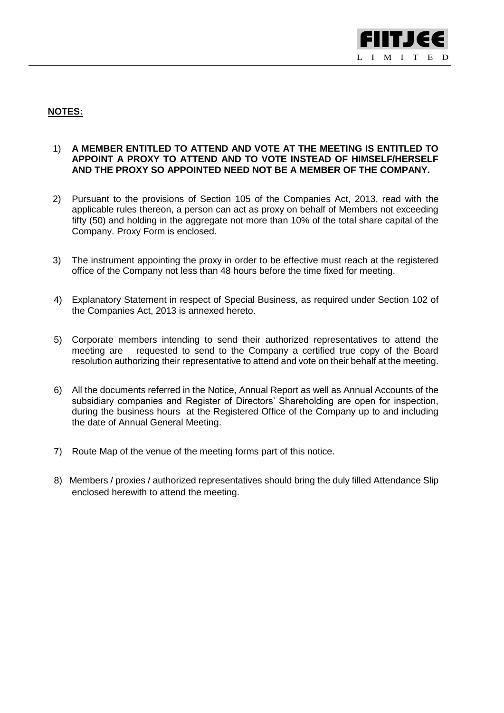

### **NOTES:**

### 1) **A MEMBER ENTITLED TO ATTEND AND VOTE AT THE MEETING IS ENTITLED TO APPOINT A PROXY TO ATTEND AND TO VOTE INSTEAD OF HIMSELF/HERSELF AND THE PROXY SO APPOINTED NEED NOT BE A MEMBER OF THE COMPANY.**

- 2) Pursuant to the provisions of Section 105 of the Companies Act, 2013, read with the applicable rules thereon, a person can act as proxy on behalf of Members not exceeding fifty (50) and holding in the aggregate not more than 10% of the total share capital of the Company. Proxy Form is enclosed.
- 3) The instrument appointing the proxy in order to be effective must reach at the registered office of the Company not less than 48 hours before the time fixed for meeting.
- 4) Explanatory Statement in respect of Special Business, as required under Section 102 of the Companies Act, 2013 is annexed hereto.
- 5) Corporate members intending to send their authorized representatives to attend the meeting are requested to send to the Company a certified true copy of the Board resolution authorizing their representative to attend and vote on their behalf at the meeting.
- 6) All the documents referred in the Notice, Annual Report as well as Annual Accounts of the subsidiary companies and Register of Directors' Shareholding are open for inspection, during the business hours at the Registered Office of the Company up to and including the date of Annual General Meeting.
- 7) Route Map of the venue of the meeting forms part of this notice.
- 8) Members / proxies / authorized representatives should bring the duly filled Attendance Slip enclosed herewith to attend the meeting.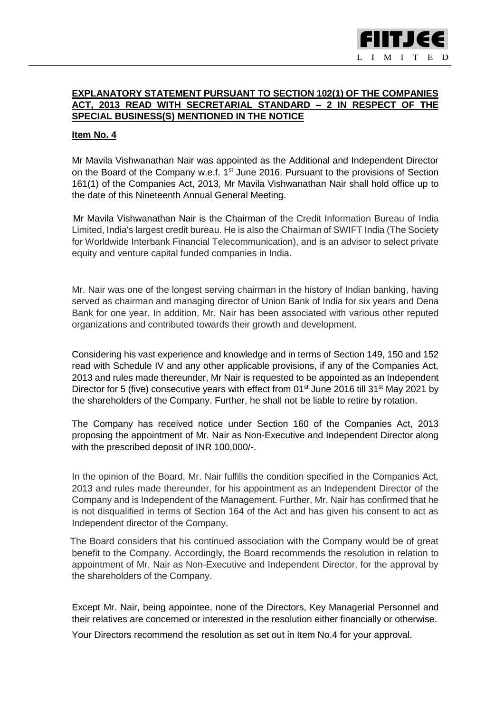

### **EXPLANATORY STATEMENT PURSUANT TO SECTION 102(1) OF THE COMPANIES ACT, 2013 READ WITH SECRETARIAL STANDARD – 2 IN RESPECT OF THE SPECIAL BUSINESS(S) MENTIONED IN THE NOTICE**

#### **Item No. 4**

Mr Mavila Vishwanathan Nair was appointed as the Additional and Independent Director on the Board of the Company w.e.f. 1<sup>st</sup> June 2016. Pursuant to the provisions of Section 161(1) of the Companies Act, 2013, Mr Mavila Vishwanathan Nair shall hold office up to the date of this Nineteenth Annual General Meeting.

 Mr Mavila Vishwanathan Nair is the Chairman of the Credit Information Bureau of India Limited, India's largest credit bureau. He is also the Chairman of SWIFT India (The Society for Worldwide Interbank Financial Telecommunication), and is an advisor to select private equity and venture capital funded companies in India.

Mr. Nair was one of the longest serving chairman in the history of Indian banking, having served as chairman and managing director of Union Bank of India for six years and Dena Bank for one year. In addition, Mr. Nair has been associated with various other reputed organizations and contributed towards their growth and development.

Considering his vast experience and knowledge and in terms of Section 149, 150 and 152 read with Schedule IV and any other applicable provisions, if any of the Companies Act, 2013 and rules made thereunder, Mr Nair is requested to be appointed as an Independent Director for 5 (five) consecutive years with effect from 01<sup>st</sup> June 2016 till 31<sup>st</sup> May 2021 by the shareholders of the Company. Further, he shall not be liable to retire by rotation.

The Company has received notice under Section 160 of the Companies Act, 2013 proposing the appointment of Mr. Nair as Non-Executive and Independent Director along with the prescribed deposit of INR 100,000/-.

In the opinion of the Board, Mr. Nair fulfills the condition specified in the Companies Act, 2013 and rules made thereunder, for his appointment as an Independent Director of the Company and is Independent of the Management. Further, Mr. Nair has confirmed that he is not disqualified in terms of Section 164 of the Act and has given his consent to act as Independent director of the Company.

 The Board considers that his continued association with the Company would be of great benefit to the Company. Accordingly, the Board recommends the resolution in relation to appointment of Mr. Nair as Non-Executive and Independent Director, for the approval by the shareholders of the Company.

Except Mr. Nair, being appointee, none of the Directors, Key Managerial Personnel and their relatives are concerned or interested in the resolution either financially or otherwise.

Your Directors recommend the resolution as set out in Item No.4 for your approval.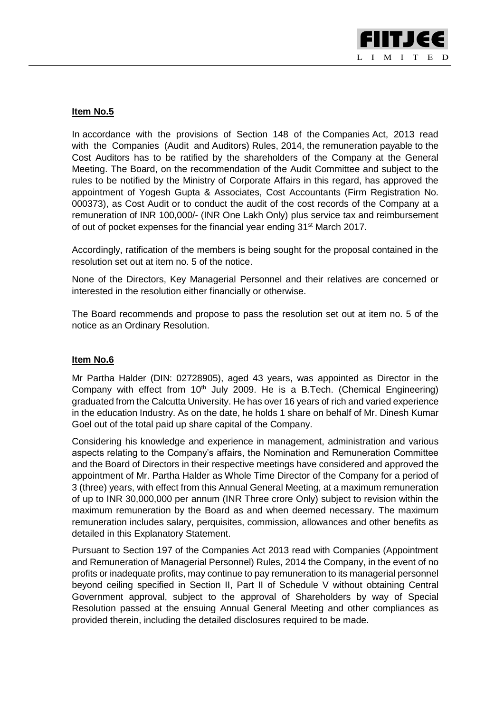

## **Item No.5**

In accordance with the provisions of Section 148 of the Companies Act, 2013 read with the Companies (Audit and Auditors) Rules, 2014, the remuneration payable to the Cost Auditors has to be ratified by the shareholders of the Company at the General Meeting. The Board, on the recommendation of the Audit Committee and subject to the rules to be notified by the Ministry of Corporate Affairs in this regard, has approved the appointment of Yogesh Gupta & Associates, Cost Accountants (Firm Registration No. 000373), as Cost Audit or to conduct the audit of the cost records of the Company at a remuneration of INR 100,000/- (INR One Lakh Only) plus service tax and reimbursement of out of pocket expenses for the financial year ending 31<sup>st</sup> March 2017.

Accordingly, ratification of the members is being sought for the proposal contained in the resolution set out at item no. 5 of the notice.

None of the Directors, Key Managerial Personnel and their relatives are concerned or interested in the resolution either financially or otherwise.

The Board recommends and propose to pass the resolution set out at item no. 5 of the notice as an Ordinary Resolution.

### **Item No.6**

Mr Partha Halder (DIN: 02728905), aged 43 years, was appointed as Director in the Company with effect from 10<sup>th</sup> July 2009. He is a B.Tech. (Chemical Engineering) graduated from the Calcutta University. He has over 16 years of rich and varied experience in the education Industry. As on the date, he holds 1 share on behalf of Mr. Dinesh Kumar Goel out of the total paid up share capital of the Company.

Considering his knowledge and experience in management, administration and various aspects relating to the Company's affairs, the Nomination and Remuneration Committee and the Board of Directors in their respective meetings have considered and approved the appointment of Mr. Partha Halder as Whole Time Director of the Company for a period of 3 (three) years, with effect from this Annual General Meeting, at a maximum remuneration of up to INR 30,000,000 per annum (INR Three crore Only) subject to revision within the maximum remuneration by the Board as and when deemed necessary. The maximum remuneration includes salary, perquisites, commission, allowances and other benefits as detailed in this Explanatory Statement.

Pursuant to Section 197 of the Companies Act 2013 read with Companies (Appointment and Remuneration of Managerial Personnel) Rules, 2014 the Company, in the event of no profits or inadequate profits, may continue to pay remuneration to its managerial personnel beyond ceiling specified in Section II, Part II of Schedule V without obtaining Central Government approval, subject to the approval of Shareholders by way of Special Resolution passed at the ensuing Annual General Meeting and other compliances as provided therein, including the detailed disclosures required to be made.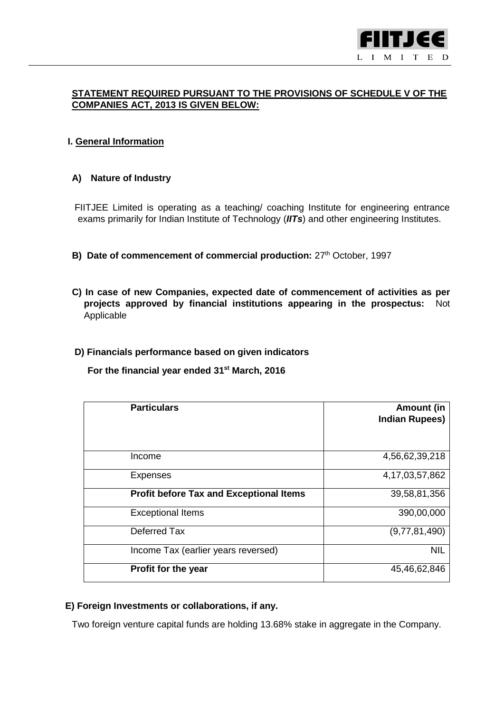

## **STATEMENT REQUIRED PURSUANT TO THE PROVISIONS OF SCHEDULE V OF THE COMPANIES ACT, 2013 IS GIVEN BELOW:**

## **I. General Information**

### **A) Nature of Industry**

 FIITJEE Limited is operating as a teaching/ coaching Institute for engineering entrance exams primarily for Indian Institute of Technology (*IITs*) and other engineering Institutes.

- **B) Date of commencement of commercial production:** 27<sup>th</sup> October, 1997
- **C) In case of new Companies, expected date of commencement of activities as per projects approved by financial institutions appearing in the prospectus:** Not Applicable

### **D) Financials performance based on given indicators**

**For the financial year ended 31st March, 2016**

| <b>Particulars</b>                             | Amount (in<br><b>Indian Rupees)</b> |
|------------------------------------------------|-------------------------------------|
| Income                                         | 4,56,62,39,218                      |
| <b>Expenses</b>                                | 4, 17, 03, 57, 862                  |
| <b>Profit before Tax and Exceptional Items</b> | 39,58,81,356                        |
| <b>Exceptional Items</b>                       | 390,00,000                          |
| Deferred Tax                                   | (9,77,81,490)                       |
| Income Tax (earlier years reversed)            | <b>NIL</b>                          |
| Profit for the year                            | 45,46,62,846                        |

## **E) Foreign Investments or collaborations, if any.**

Two foreign venture capital funds are holding 13.68% stake in aggregate in the Company.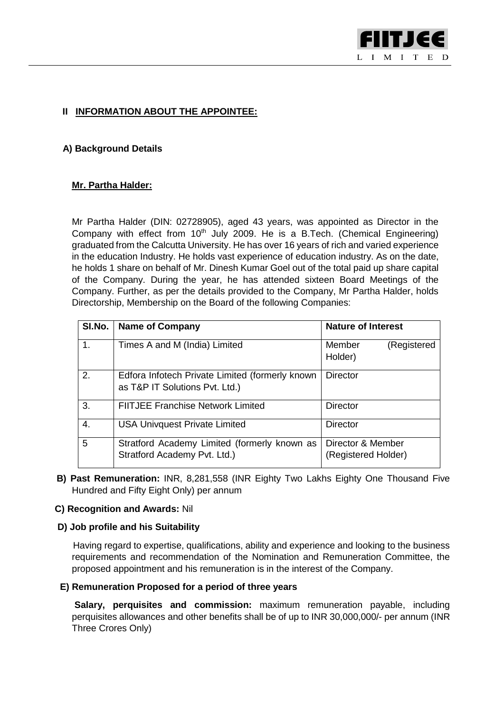

## **II INFORMATION ABOUT THE APPOINTEE:**

### **A) Background Details**

## **Mr. Partha Halder:**

Mr Partha Halder (DIN: 02728905), aged 43 years, was appointed as Director in the Company with effect from  $10<sup>th</sup>$  July 2009. He is a B.Tech. (Chemical Engineering) graduated from the Calcutta University. He has over 16 years of rich and varied experience in the education Industry. He holds vast experience of education industry. As on the date, he holds 1 share on behalf of Mr. Dinesh Kumar Goel out of the total paid up share capital of the Company. During the year, he has attended sixteen Board Meetings of the Company. Further, as per the details provided to the Company, Mr Partha Halder, holds Directorship, Membership on the Board of the following Companies:

| SI.No. | <b>Name of Company</b>                                                            | <b>Nature of Interest</b>                |
|--------|-----------------------------------------------------------------------------------|------------------------------------------|
| 1.     | Times A and M (India) Limited                                                     | Member<br>(Registered<br>Holder)         |
| 2.     | Edfora Infotech Private Limited (formerly known<br>as T&P IT Solutions Pvt. Ltd.) | <b>Director</b>                          |
| 3.     | <b>FIITJEE Franchise Network Limited</b>                                          | <b>Director</b>                          |
| 4.     | <b>USA Univquest Private Limited</b>                                              | <b>Director</b>                          |
| 5      | Stratford Academy Limited (formerly known as<br>Stratford Academy Pvt. Ltd.)      | Director & Member<br>(Registered Holder) |

 **B) Past Remuneration:** INR, 8,281,558 (INR Eighty Two Lakhs Eighty One Thousand Five Hundred and Fifty Eight Only) per annum

#### **C) Recognition and Awards:** Nil

### **D) Job profile and his Suitability**

 Having regard to expertise, qualifications, ability and experience and looking to the business requirements and recommendation of the Nomination and Remuneration Committee, the proposed appointment and his remuneration is in the interest of the Company.

### **E) Remuneration Proposed for a period of three years**

**Salary, perquisites and commission:** maximum remuneration payable, including perquisites allowances and other benefits shall be of up to INR 30,000,000/- per annum (INR Three Crores Only)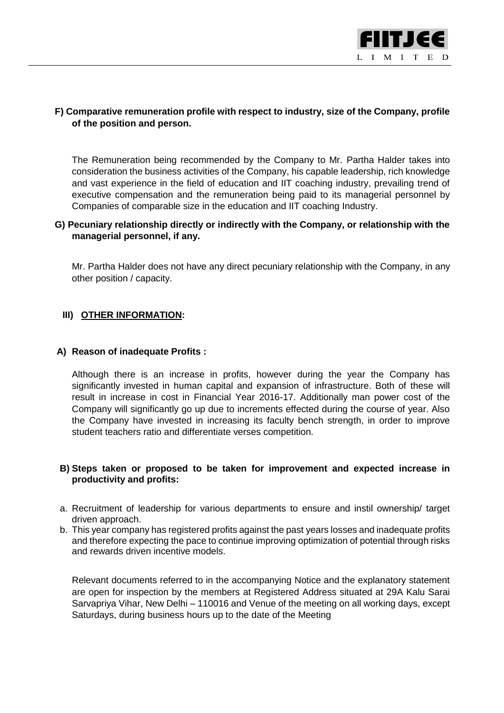

## **F) Comparative remuneration profile with respect to industry, size of the Company, profile of the position and person.**

The Remuneration being recommended by the Company to Mr. Partha Halder takes into consideration the business activities of the Company, his capable leadership, rich knowledge and vast experience in the field of education and IIT coaching industry, prevailing trend of executive compensation and the remuneration being paid to its managerial personnel by Companies of comparable size in the education and IIT coaching Industry.

### **G) Pecuniary relationship directly or indirectly with the Company, or relationship with the managerial personnel, if any.**

Mr. Partha Halder does not have any direct pecuniary relationship with the Company, in any other position / capacity.

### **III) OTHER INFORMATION:**

### **A) Reason of inadequate Profits :**

Although there is an increase in profits, however during the year the Company has significantly invested in human capital and expansion of infrastructure. Both of these will result in increase in cost in Financial Year 2016-17. Additionally man power cost of the Company will significantly go up due to increments effected during the course of year. Also the Company have invested in increasing its faculty bench strength, in order to improve student teachers ratio and differentiate verses competition.

### **B) Steps taken or proposed to be taken for improvement and expected increase in productivity and profits:**

- a. Recruitment of leadership for various departments to ensure and instil ownership/ target driven approach.
- b. This year company has registered profits against the past years losses and inadequate profits and therefore expecting the pace to continue improving optimization of potential through risks and rewards driven incentive models.

 Relevant documents referred to in the accompanying Notice and the explanatory statement are open for inspection by the members at Registered Address situated at 29A Kalu Sarai Sarvapriya Vihar, New Delhi – 110016 and Venue of the meeting on all working days, except Saturdays, during business hours up to the date of the Meeting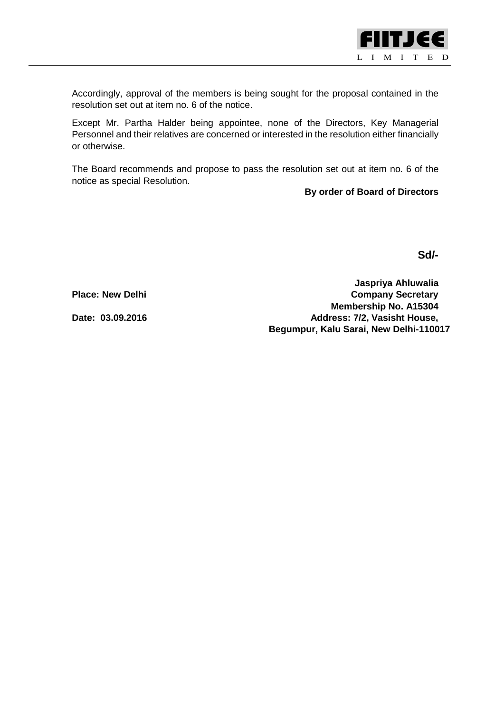

Accordingly, approval of the members is being sought for the proposal contained in the resolution set out at item no. 6 of the notice.

Except Mr. Partha Halder being appointee, none of the Directors, Key Managerial Personnel and their relatives are concerned or interested in the resolution either financially or otherwise.

The Board recommends and propose to pass the resolution set out at item no. 6 of the notice as special Resolution.

**By order of Board of Directors**

**Sd/-**

**Jaspriya Ahluwalia Place: New Delhi Company Secretary Membership No. A15304 Date: 03.09.2016 Address: 7/2, Vasisht House, Begumpur, Kalu Sarai, New Delhi-110017**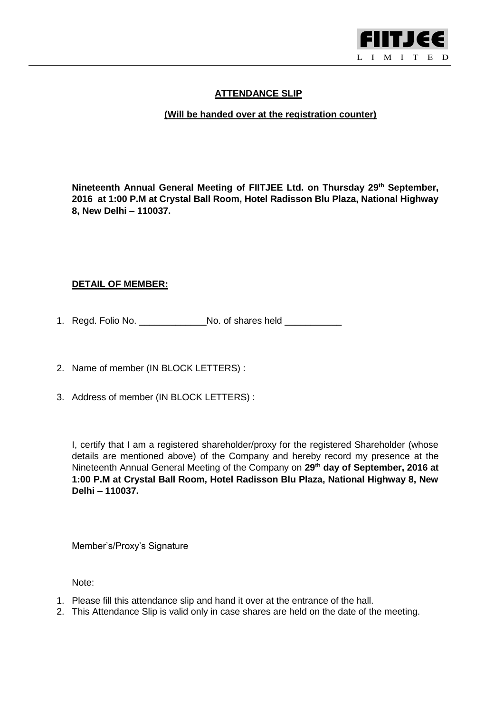

## **ATTENDANCE SLIP**

## **(Will be handed over at the registration counter)**

**Nineteenth Annual General Meeting of FIITJEE Ltd. on Thursday 29th September, 2016 at 1:00 P.M at Crystal Ball Room, Hotel Radisson Blu Plaza, National Highway 8, New Delhi – 110037.** 

## **DETAIL OF MEMBER:**

- 1. Regd. Folio No. \_\_\_\_\_\_\_\_\_\_\_\_\_No. of shares held \_\_\_\_\_\_\_\_\_\_\_
- 2. Name of member (IN BLOCK LETTERS) :
- 3. Address of member (IN BLOCK LETTERS) :

I, certify that I am a registered shareholder/proxy for the registered Shareholder (whose details are mentioned above) of the Company and hereby record my presence at the Nineteenth Annual General Meeting of the Company on **29th day of September, 2016 at 1:00 P.M at Crystal Ball Room, Hotel Radisson Blu Plaza, National Highway 8, New Delhi – 110037.** 

Member's/Proxy's Signature

Note:

- 1. Please fill this attendance slip and hand it over at the entrance of the hall.
- 2. This Attendance Slip is valid only in case shares are held on the date of the meeting.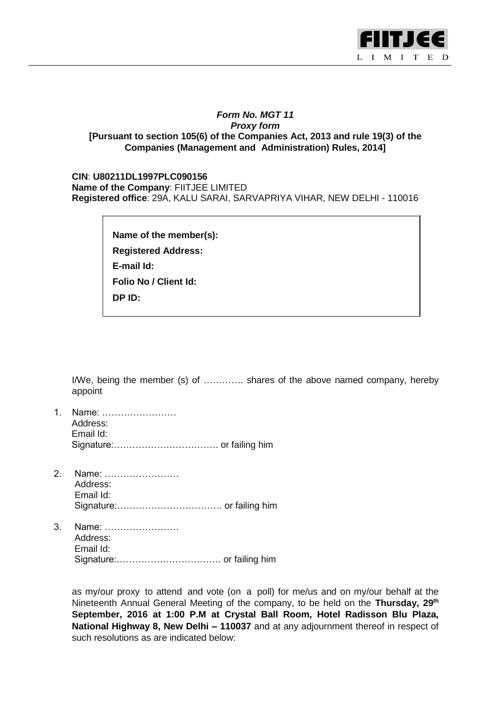

### *Form No. MGT 11 Proxy form* **[Pursuant to section 105(6) of the Companies Act, 2013 and rule 19(3) of the Companies (Management and Administration) Rules, 2014]**

**CIN**: **U80211DL1997PLC090156 Name of the Company**: FIITJEE LIMITED **Registered office**: 29A, KALU SARAI, SARVAPRIYA VIHAR, NEW DELHI - 110016

> **Name of the member(s): Registered Address: E-mail Id: Folio No / Client Id: DP ID:**

I/We, being the member (s) of …………. shares of the above named company, hereby appoint

- 1. Name: …………………… Address: Email Id: Signature:……………………………. or failing him
- 2. Name: …………………… Address: Email Id: Signature:……………………………. or failing him
- 3. Name: …………………… Address: Email Id: Signature:……………………………. or failing him

as my/our proxy to attend and vote (on a poll) for me/us and on my/our behalf at the Nineteenth Annual General Meeting of the company, to be held on the **Thursday, 29th September, 2016 at 1:00 P.M at Crystal Ball Room, Hotel Radisson Blu Plaza, National Highway 8, New Delhi – 110037** and at any adjournment thereof in respect of such resolutions as are indicated below: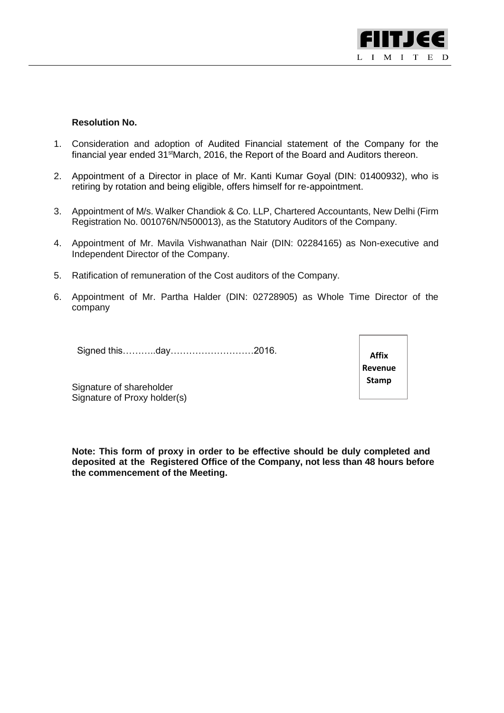

#### **Resolution No.**

- 1. Consideration and adoption of Audited Financial statement of the Company for the financial year ended 31<sup>st</sup>March, 2016, the Report of the Board and Auditors thereon.
- 2. Appointment of a Director in place of Mr. Kanti Kumar Goyal (DIN: 01400932), who is retiring by rotation and being eligible, offers himself for re-appointment.
- 3. Appointment of M/s. Walker Chandiok & Co. LLP, Chartered Accountants, New Delhi (Firm Registration No. 001076N/N500013), as the Statutory Auditors of the Company.
- 4. Appointment of Mr. Mavila Vishwanathan Nair (DIN: 02284165) as Non-executive and Independent Director of the Company.
- 5. Ratification of remuneration of the Cost auditors of the Company.
- 6. Appointment of Mr. Partha Halder (DIN: 02728905) as Whole Time Director of the company

Signed this………..day………………………2016.

**Affix Revenue Stamp**

Signature of shareholder Signature of Proxy holder(s)

**Note: This form of proxy in order to be effective should be duly completed and deposited at the Registered Office of the Company, not less than 48 hours before the commencement of the Meeting.**